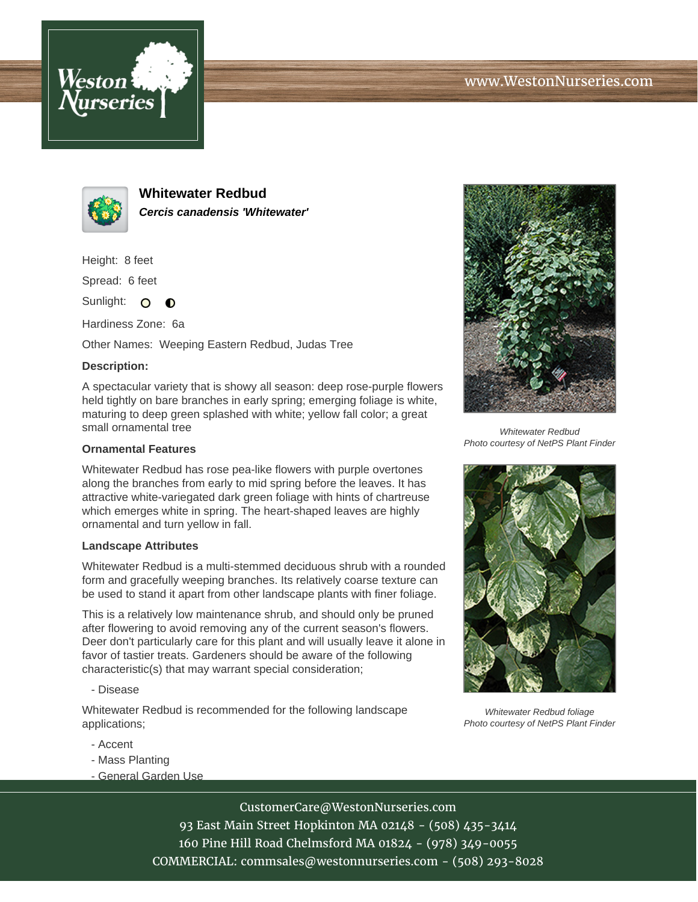



**Whitewater Redbud Cercis canadensis 'Whitewater'**

Height: 8 feet

Spread: 6 feet

Sunlight: O  $\bullet$ 

Hardiness Zone: 6a

Other Names: Weeping Eastern Redbud, Judas Tree

## **Description:**

A spectacular variety that is showy all season: deep rose-purple flowers held tightly on bare branches in early spring; emerging foliage is white, maturing to deep green splashed with white; yellow fall color; a great small ornamental tree

## **Ornamental Features**

Whitewater Redbud has rose pea-like flowers with purple overtones along the branches from early to mid spring before the leaves. It has attractive white-variegated dark green foliage with hints of chartreuse which emerges white in spring. The heart-shaped leaves are highly ornamental and turn yellow in fall.

## **Landscape Attributes**

Whitewater Redbud is a multi-stemmed deciduous shrub with a rounded form and gracefully weeping branches. Its relatively coarse texture can be used to stand it apart from other landscape plants with finer foliage.

This is a relatively low maintenance shrub, and should only be pruned after flowering to avoid removing any of the current season's flowers. Deer don't particularly care for this plant and will usually leave it alone in favor of tastier treats. Gardeners should be aware of the following characteristic(s) that may warrant special consideration;

- Disease

Whitewater Redbud is recommended for the following landscape applications;

- Accent
- Mass Planting
- General Garden Use



Whitewater Redbud Photo courtesy of NetPS Plant Finder



Whitewater Redbud foliage Photo courtesy of NetPS Plant Finder

CustomerCare@WestonNurseries.com

93 East Main Street Hopkinton MA 02148 - (508) 435-3414 160 Pine Hill Road Chelmsford MA 01824 - (978) 349-0055 COMMERCIAL: commsales@westonnurseries.com - (508) 293-8028